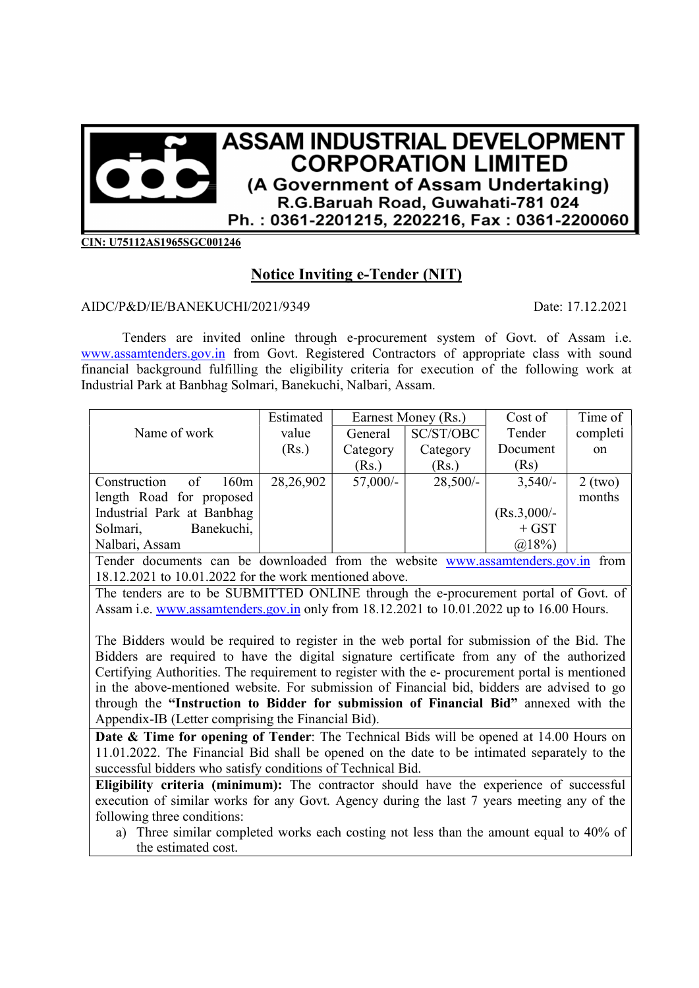

CIN: U75112AS1965SGC001246

## Notice Inviting e-Tender (NIT)

## AIDC/P&D/IE/BANEKUCHI/2021/9349 Date: 17.12.2021

Tenders are invited online through e-procurement system of Govt. of Assam i.e. www.assamtenders.gov.in from Govt. Registered Contractors of appropriate class with sound financial background fulfilling the eligibility criteria for execution of the following work at Industrial Park at Banbhag Solmari, Banekuchi, Nalbari, Assam.

|                            | Estimated | Earnest Money (Rs.)       |            | Cost of       | Time of   |
|----------------------------|-----------|---------------------------|------------|---------------|-----------|
| Name of work               | value     | General                   | SC/ST/OBC  | Tender        | completi  |
|                            | (Rs.)     | Category                  | Category   | Document      | on        |
|                            |           | (Rs.)                     | (Rs.)      | (Rs)          |           |
| 160m<br>of<br>Construction | 28,26,902 | $57,000/-$                | $28,500/-$ | $3,540/-$     | $2$ (two) |
| length Road for proposed   |           |                           |            |               | months    |
| Industrial Park at Banbhag |           |                           |            | $(Rs.3,000/-$ |           |
| Banekuchi,<br>Solmari,     |           |                           |            | $+$ GST       |           |
| Nalbari, Assam             |           |                           |            | $(a)18\%$     |           |
| $\mathbf{m}$ 1             |           | $\mathbf{1}$<br>$\cdot$ 1 |            |               |           |

Tender documents can be downloaded from the website www.assamtenders.gov.in from 18.12.2021 to 10.01.2022 for the work mentioned above.

The tenders are to be SUBMITTED ONLINE through the e-procurement portal of Govt. of Assam i.e. www.assamtenders.gov.in only from 18.12.2021 to 10.01.2022 up to 16.00 Hours.

The Bidders would be required to register in the web portal for submission of the Bid. The Bidders are required to have the digital signature certificate from any of the authorized Certifying Authorities. The requirement to register with the e- procurement portal is mentioned in the above-mentioned website. For submission of Financial bid, bidders are advised to go through the "Instruction to Bidder for submission of Financial Bid" annexed with the Appendix-IB (Letter comprising the Financial Bid).

Date & Time for opening of Tender: The Technical Bids will be opened at 14.00 Hours on 11.01.2022. The Financial Bid shall be opened on the date to be intimated separately to the successful bidders who satisfy conditions of Technical Bid.

Eligibility criteria (minimum): The contractor should have the experience of successful execution of similar works for any Govt. Agency during the last 7 years meeting any of the following three conditions:

a) Three similar completed works each costing not less than the amount equal to 40% of the estimated cost.